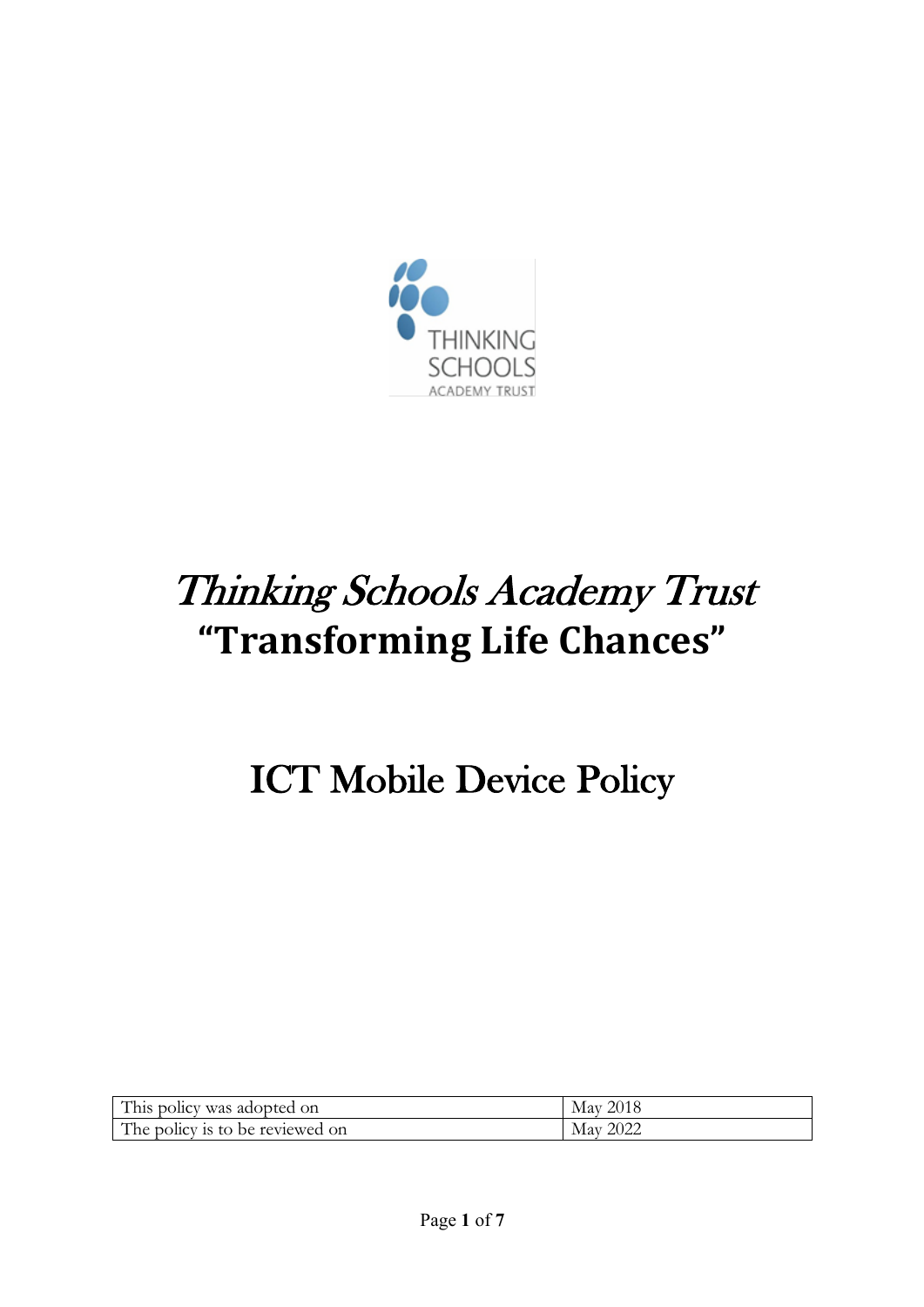

# Thinking Schools Academy Trust **"Transforming Life Chances"**

# ICT Mobile Device Policy

| This policy was adopted on      | May 2018 |
|---------------------------------|----------|
| The policy is to be reviewed on | May 2022 |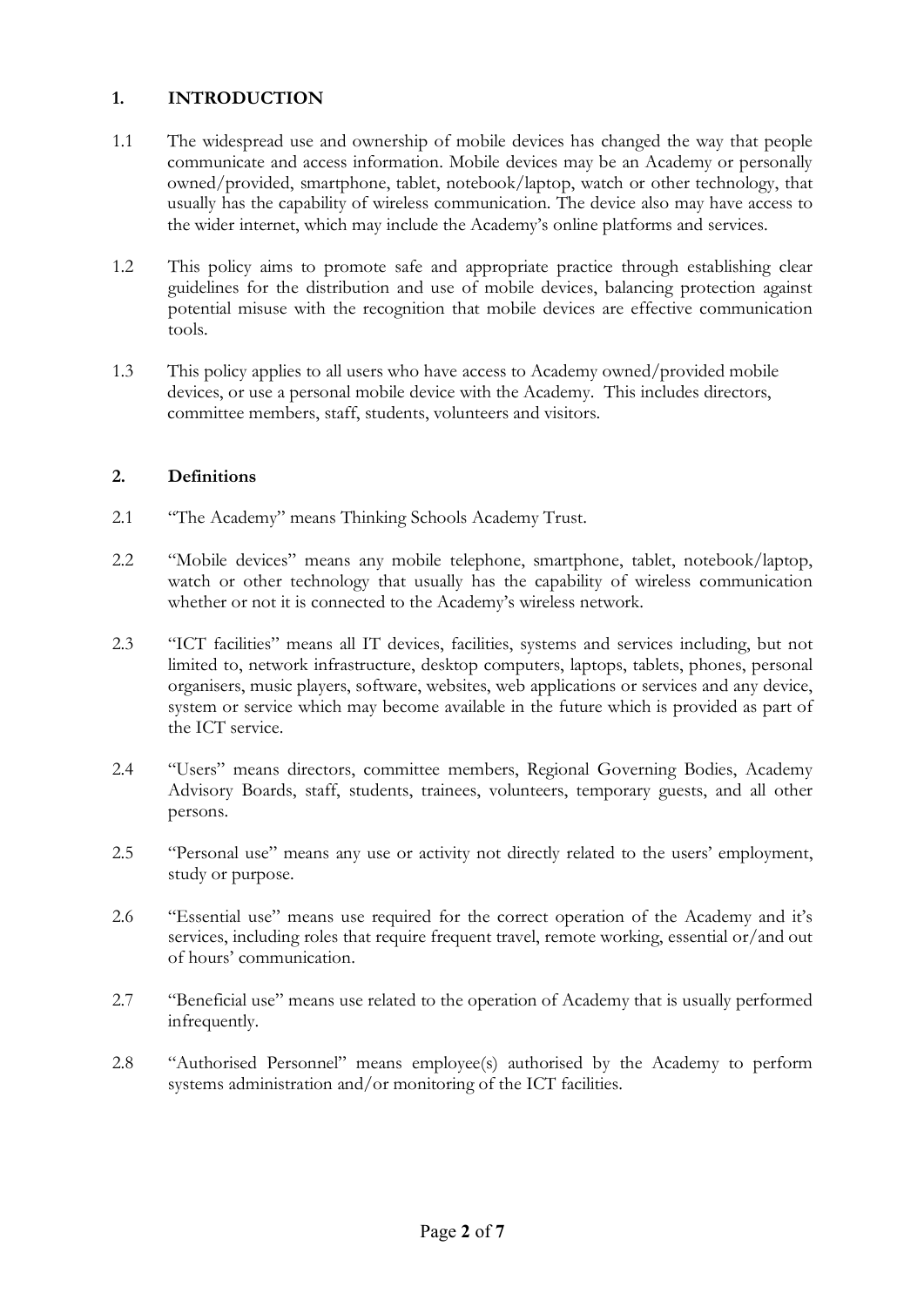## **1. INTRODUCTION**

- 1.1 The widespread use and ownership of mobile devices has changed the way that people communicate and access information. Mobile devices may be an Academy or personally owned/provided, smartphone, tablet, notebook/laptop, watch or other technology, that usually has the capability of wireless communication. The device also may have access to the wider internet, which may include the Academy's online platforms and services.
- 1.2 This policy aims to promote safe and appropriate practice through establishing clear guidelines for the distribution and use of mobile devices, balancing protection against potential misuse with the recognition that mobile devices are effective communication tools.
- 1.3 This policy applies to all users who have access to Academy owned/provided mobile devices, or use a personal mobile device with the Academy. This includes directors, committee members, staff, students, volunteers and visitors.

#### **2. Definitions**

- 2.1 "The Academy" means Thinking Schools Academy Trust.
- 2.2 "Mobile devices" means any mobile telephone, smartphone, tablet, notebook/laptop, watch or other technology that usually has the capability of wireless communication whether or not it is connected to the Academy's wireless network.
- 2.3 "ICT facilities" means all IT devices, facilities, systems and services including, but not limited to, network infrastructure, desktop computers, laptops, tablets, phones, personal organisers, music players, software, websites, web applications or services and any device, system or service which may become available in the future which is provided as part of the ICT service.
- 2.4 "Users" means directors, committee members, Regional Governing Bodies, Academy Advisory Boards, staff, students, trainees, volunteers, temporary guests, and all other persons.
- 2.5 "Personal use" means any use or activity not directly related to the users' employment, study or purpose.
- 2.6 "Essential use" means use required for the correct operation of the Academy and it's services, including roles that require frequent travel, remote working, essential or/and out of hours' communication.
- 2.7 "Beneficial use" means use related to the operation of Academy that is usually performed infrequently.
- 2.8 "Authorised Personnel" means employee(s) authorised by the Academy to perform systems administration and/or monitoring of the ICT facilities.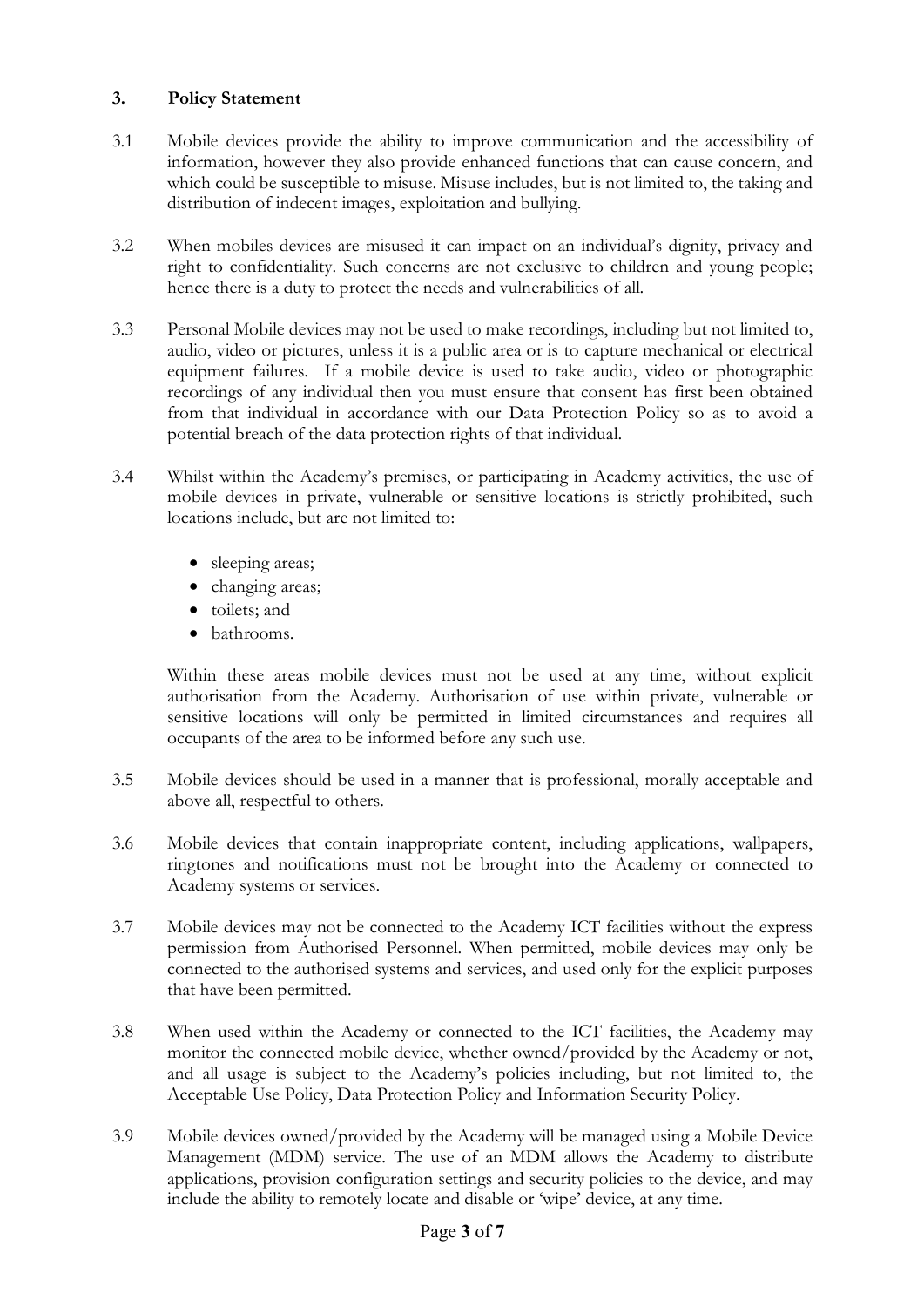#### **3. Policy Statement**

- 3.1 Mobile devices provide the ability to improve communication and the accessibility of information, however they also provide enhanced functions that can cause concern, and which could be susceptible to misuse. Misuse includes, but is not limited to, the taking and distribution of indecent images, exploitation and bullying.
- 3.2 When mobiles devices are misused it can impact on an individual's dignity, privacy and right to confidentiality. Such concerns are not exclusive to children and young people; hence there is a duty to protect the needs and vulnerabilities of all.
- 3.3 Personal Mobile devices may not be used to make recordings, including but not limited to, audio, video or pictures, unless it is a public area or is to capture mechanical or electrical equipment failures. If a mobile device is used to take audio, video or photographic recordings of any individual then you must ensure that consent has first been obtained from that individual in accordance with our Data Protection Policy so as to avoid a potential breach of the data protection rights of that individual.
- 3.4 Whilst within the Academy's premises, or participating in Academy activities, the use of mobile devices in private, vulnerable or sensitive locations is strictly prohibited, such locations include, but are not limited to:
	- sleeping areas;
	- changing areas;
	- toilets; and
	- bathrooms.

Within these areas mobile devices must not be used at any time, without explicit authorisation from the Academy. Authorisation of use within private, vulnerable or sensitive locations will only be permitted in limited circumstances and requires all occupants of the area to be informed before any such use.

- 3.5 Mobile devices should be used in a manner that is professional, morally acceptable and above all, respectful to others.
- 3.6 Mobile devices that contain inappropriate content, including applications, wallpapers, ringtones and notifications must not be brought into the Academy or connected to Academy systems or services.
- 3.7 Mobile devices may not be connected to the Academy ICT facilities without the express permission from Authorised Personnel. When permitted, mobile devices may only be connected to the authorised systems and services, and used only for the explicit purposes that have been permitted.
- 3.8 When used within the Academy or connected to the ICT facilities, the Academy may monitor the connected mobile device, whether owned/provided by the Academy or not, and all usage is subject to the Academy's policies including, but not limited to, the Acceptable Use Policy, Data Protection Policy and Information Security Policy.
- 3.9 Mobile devices owned/provided by the Academy will be managed using a Mobile Device Management (MDM) service. The use of an MDM allows the Academy to distribute applications, provision configuration settings and security policies to the device, and may include the ability to remotely locate and disable or 'wipe' device, at any time.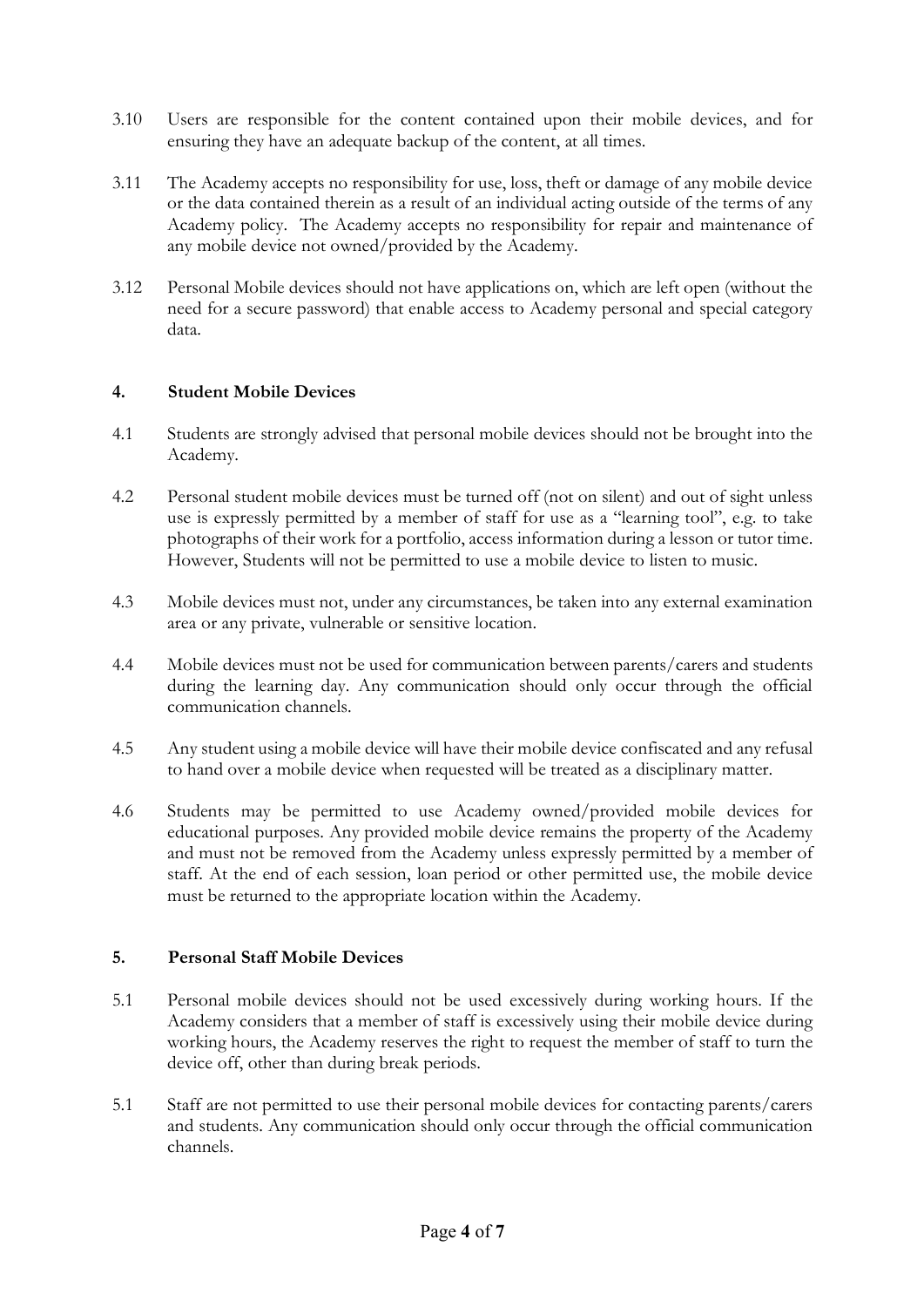- 3.10 Users are responsible for the content contained upon their mobile devices, and for ensuring they have an adequate backup of the content, at all times.
- 3.11 The Academy accepts no responsibility for use, loss, theft or damage of any mobile device or the data contained therein as a result of an individual acting outside of the terms of any Academy policy. The Academy accepts no responsibility for repair and maintenance of any mobile device not owned/provided by the Academy.
- 3.12 Personal Mobile devices should not have applications on, which are left open (without the need for a secure password) that enable access to Academy personal and special category data.

#### **4. Student Mobile Devices**

- 4.1 Students are strongly advised that personal mobile devices should not be brought into the Academy.
- 4.2 Personal student mobile devices must be turned off (not on silent) and out of sight unless use is expressly permitted by a member of staff for use as a "learning tool", e.g. to take photographs of their work for a portfolio, access information during a lesson or tutor time. However, Students will not be permitted to use a mobile device to listen to music.
- 4.3 Mobile devices must not, under any circumstances, be taken into any external examination area or any private, vulnerable or sensitive location.
- 4.4 Mobile devices must not be used for communication between parents/carers and students during the learning day. Any communication should only occur through the official communication channels.
- 4.5 Any student using a mobile device will have their mobile device confiscated and any refusal to hand over a mobile device when requested will be treated as a disciplinary matter.
- 4.6 Students may be permitted to use Academy owned/provided mobile devices for educational purposes. Any provided mobile device remains the property of the Academy and must not be removed from the Academy unless expressly permitted by a member of staff. At the end of each session, loan period or other permitted use, the mobile device must be returned to the appropriate location within the Academy.

#### **5. Personal Staff Mobile Devices**

- 5.1 Personal mobile devices should not be used excessively during working hours. If the Academy considers that a member of staff is excessively using their mobile device during working hours, the Academy reserves the right to request the member of staff to turn the device off, other than during break periods.
- 5.1 Staff are not permitted to use their personal mobile devices for contacting parents/carers and students. Any communication should only occur through the official communication channels.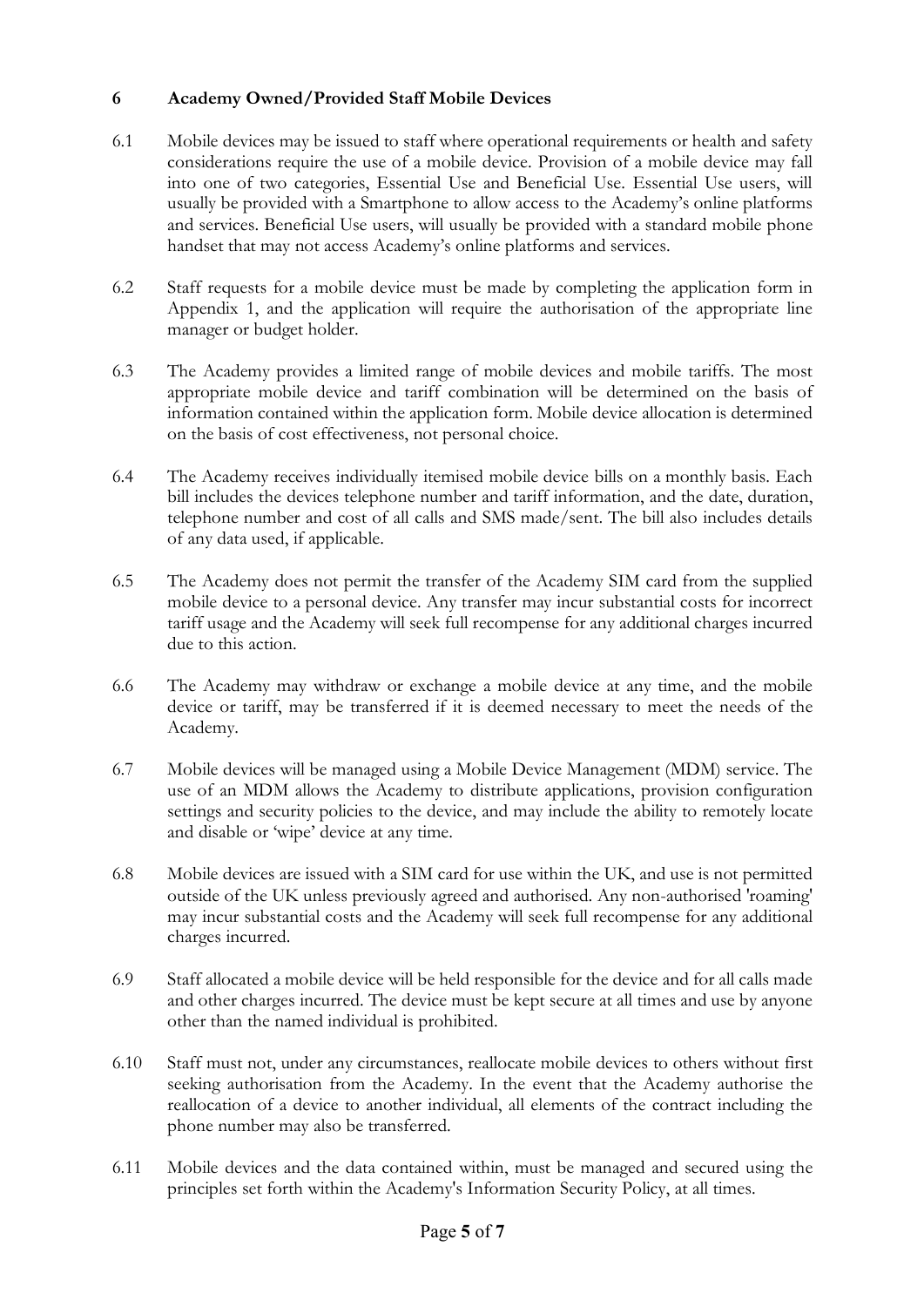### **6 Academy Owned/Provided Staff Mobile Devices**

- 6.1 Mobile devices may be issued to staff where operational requirements or health and safety considerations require the use of a mobile device. Provision of a mobile device may fall into one of two categories, Essential Use and Beneficial Use. Essential Use users, will usually be provided with a Smartphone to allow access to the Academy's online platforms and services. Beneficial Use users, will usually be provided with a standard mobile phone handset that may not access Academy's online platforms and services.
- 6.2 Staff requests for a mobile device must be made by completing the application form in Appendix 1, and the application will require the authorisation of the appropriate line manager or budget holder.
- 6.3 The Academy provides a limited range of mobile devices and mobile tariffs. The most appropriate mobile device and tariff combination will be determined on the basis of information contained within the application form. Mobile device allocation is determined on the basis of cost effectiveness, not personal choice.
- 6.4 The Academy receives individually itemised mobile device bills on a monthly basis. Each bill includes the devices telephone number and tariff information, and the date, duration, telephone number and cost of all calls and SMS made/sent. The bill also includes details of any data used, if applicable.
- 6.5 The Academy does not permit the transfer of the Academy SIM card from the supplied mobile device to a personal device. Any transfer may incur substantial costs for incorrect tariff usage and the Academy will seek full recompense for any additional charges incurred due to this action.
- 6.6 The Academy may withdraw or exchange a mobile device at any time, and the mobile device or tariff, may be transferred if it is deemed necessary to meet the needs of the Academy.
- 6.7 Mobile devices will be managed using a Mobile Device Management (MDM) service. The use of an MDM allows the Academy to distribute applications, provision configuration settings and security policies to the device, and may include the ability to remotely locate and disable or 'wipe' device at any time.
- 6.8 Mobile devices are issued with a SIM card for use within the UK, and use is not permitted outside of the UK unless previously agreed and authorised. Any non-authorised 'roaming' may incur substantial costs and the Academy will seek full recompense for any additional charges incurred.
- 6.9 Staff allocated a mobile device will be held responsible for the device and for all calls made and other charges incurred. The device must be kept secure at all times and use by anyone other than the named individual is prohibited.
- 6.10 Staff must not, under any circumstances, reallocate mobile devices to others without first seeking authorisation from the Academy. In the event that the Academy authorise the reallocation of a device to another individual, all elements of the contract including the phone number may also be transferred.
- 6.11 Mobile devices and the data contained within, must be managed and secured using the principles set forth within the Academy's Information Security Policy, at all times.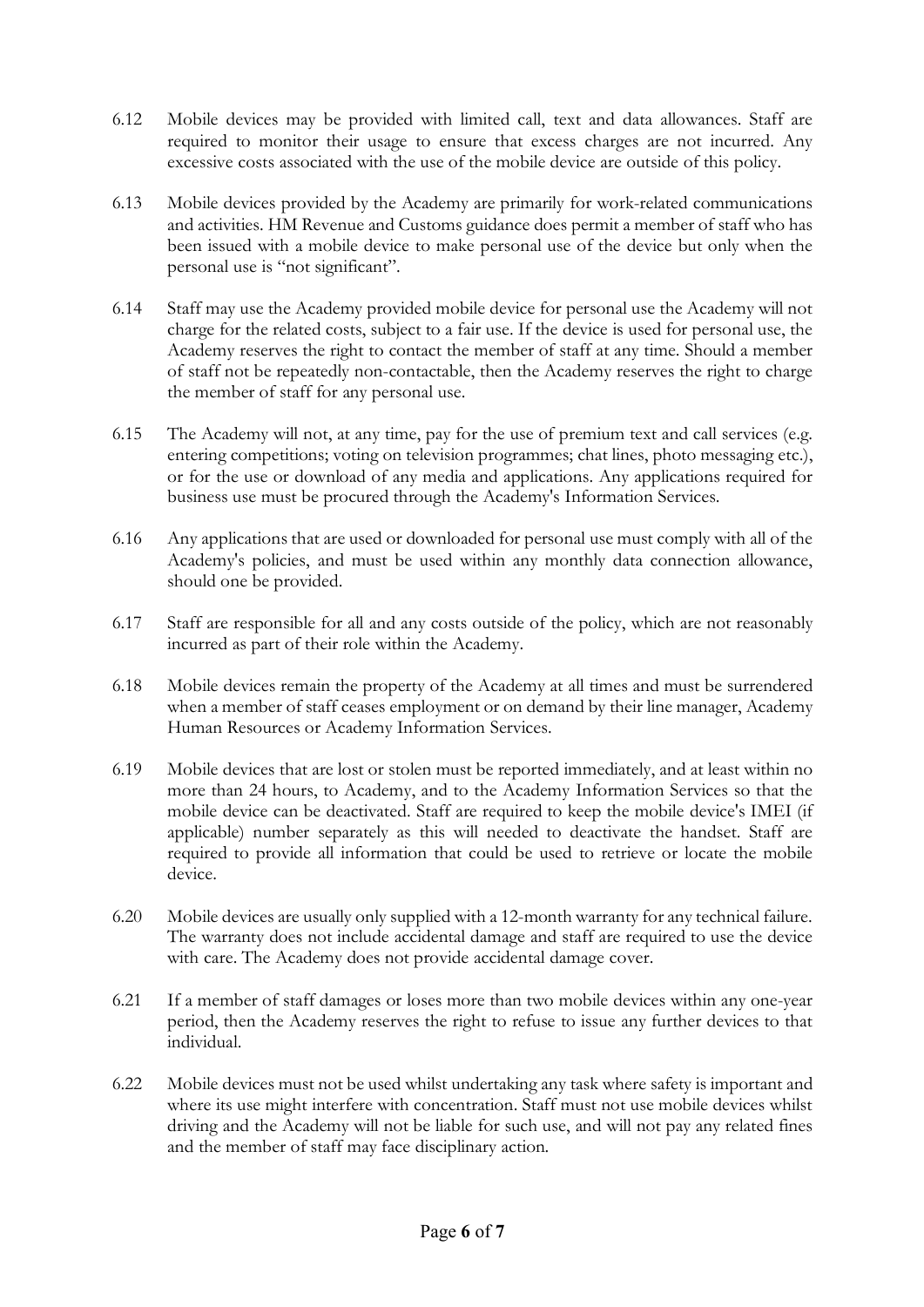- 6.12 Mobile devices may be provided with limited call, text and data allowances. Staff are required to monitor their usage to ensure that excess charges are not incurred. Any excessive costs associated with the use of the mobile device are outside of this policy.
- 6.13 Mobile devices provided by the Academy are primarily for work-related communications and activities. HM Revenue and Customs guidance does permit a member of staff who has been issued with a mobile device to make personal use of the device but only when the personal use is "not significant".
- 6.14 Staff may use the Academy provided mobile device for personal use the Academy will not charge for the related costs, subject to a fair use. If the device is used for personal use, the Academy reserves the right to contact the member of staff at any time. Should a member of staff not be repeatedly non-contactable, then the Academy reserves the right to charge the member of staff for any personal use.
- 6.15 The Academy will not, at any time, pay for the use of premium text and call services (e.g. entering competitions; voting on television programmes; chat lines, photo messaging etc.), or for the use or download of any media and applications. Any applications required for business use must be procured through the Academy's Information Services.
- 6.16 Any applications that are used or downloaded for personal use must comply with all of the Academy's policies, and must be used within any monthly data connection allowance, should one be provided.
- 6.17 Staff are responsible for all and any costs outside of the policy, which are not reasonably incurred as part of their role within the Academy.
- 6.18 Mobile devices remain the property of the Academy at all times and must be surrendered when a member of staff ceases employment or on demand by their line manager, Academy Human Resources or Academy Information Services.
- 6.19 Mobile devices that are lost or stolen must be reported immediately, and at least within no more than 24 hours, to Academy, and to the Academy Information Services so that the mobile device can be deactivated. Staff are required to keep the mobile device's IMEI (if applicable) number separately as this will needed to deactivate the handset. Staff are required to provide all information that could be used to retrieve or locate the mobile device.
- 6.20 Mobile devices are usually only supplied with a 12-month warranty for any technical failure. The warranty does not include accidental damage and staff are required to use the device with care. The Academy does not provide accidental damage cover.
- 6.21 If a member of staff damages or loses more than two mobile devices within any one-year period, then the Academy reserves the right to refuse to issue any further devices to that individual.
- 6.22 Mobile devices must not be used whilst undertaking any task where safety is important and where its use might interfere with concentration. Staff must not use mobile devices whilst driving and the Academy will not be liable for such use, and will not pay any related fines and the member of staff may face disciplinary action.